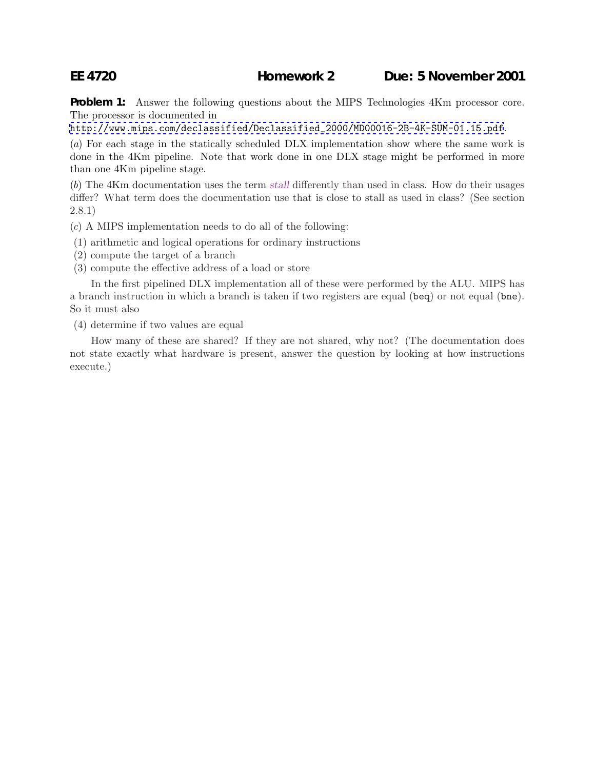**Problem 1:** Answer the following questions about the MIPS Technologies 4Km processor core. The processor is documented in

[http://www.mips.com/declassified/Declassified\\_2000/MD00016-2B-4K-SUM-01.15.pdf](http://www.mips.com/declassified/Declassified_2000/MD00016-2B-4K-SUM-01.15.pdf).

(a) For each stage in the statically scheduled DLX implementation show where the same work is done in the 4Km pipeline. Note that work done in one DLX stage might be performed in more than one 4Km pipeline stage.

(b) The 4Km documentation uses the term *stall* differently than used in class. How do their usages differ? What term does the documentation use that is close to stall as used in class? (See section 2.8.1)

(c) A MIPS implementation needs to do all of the following:

- (1) arithmetic and logical operations for ordinary instructions
- (2) compute the target of a branch
- (3) compute the effective address of a load or store

In the first pipelined DLX implementation all of these were performed by the ALU. MIPS has a branch instruction in which a branch is taken if two registers are equal (beq) or not equal (bne). So it must also

(4) determine if two values are equal

How many of these are shared? If they are not shared, why not? (The documentation does not state exactly what hardware is present, answer the question by looking at how instructions execute.)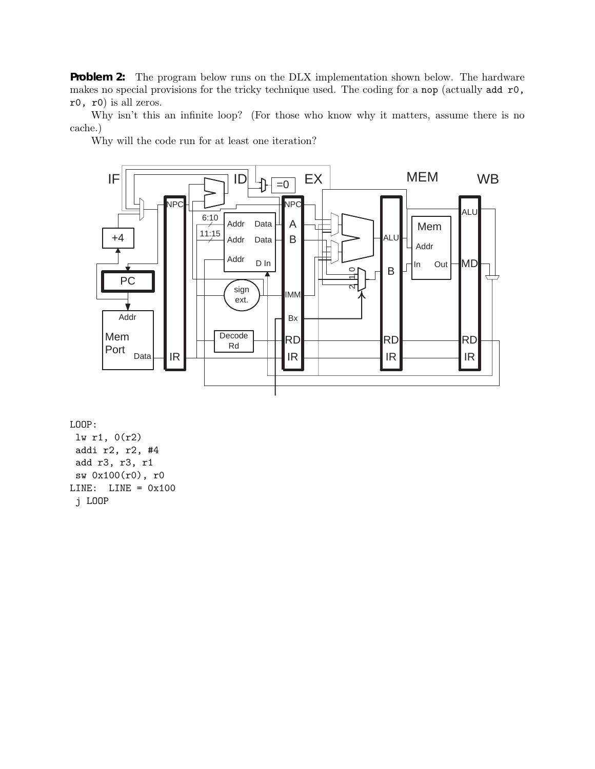**Problem 2:** The program below runs on the DLX implementation shown below. The hardware makes no special provisions for the tricky technique used. The coding for a nop (actually add r0, r0, r0) is all zeros.

Why isn't this an infinite loop? (For those who know why it matters, assume there is no cache.)

Why will the code run for at least one iteration?



LOOP:

lw r1, 0(r2) addi r2, r2, #4 add r3, r3, r1 sw 0x100(r0), r0 LINE:  $LINE = 0x100$ j LOOP